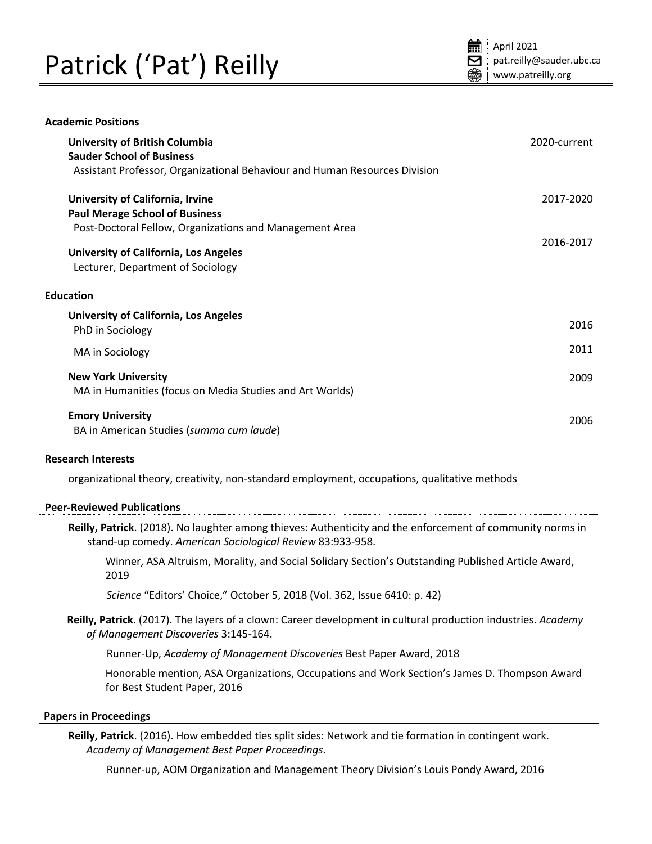# Patrick ('Pat') Reilly

| <b>University of British Columbia</b>                                                                                                                                   | 2020-current |
|-------------------------------------------------------------------------------------------------------------------------------------------------------------------------|--------------|
| <b>Sauder School of Business</b>                                                                                                                                        |              |
| Assistant Professor, Organizational Behaviour and Human Resources Division                                                                                              |              |
| University of California, Irvine                                                                                                                                        | 2017-2020    |
| <b>Paul Merage School of Business</b>                                                                                                                                   |              |
| Post-Doctoral Fellow, Organizations and Management Area                                                                                                                 |              |
| University of California, Los Angeles                                                                                                                                   | 2016-2017    |
| Lecturer, Department of Sociology                                                                                                                                       |              |
| <b>Education</b>                                                                                                                                                        |              |
| <b>University of California, Los Angeles</b>                                                                                                                            |              |
| PhD in Sociology                                                                                                                                                        | 2016         |
| MA in Sociology                                                                                                                                                         | 2011         |
| <b>New York University</b>                                                                                                                                              | 2009         |
| MA in Humanities (focus on Media Studies and Art Worlds)                                                                                                                |              |
| <b>Emory University</b>                                                                                                                                                 | 2006         |
| BA in American Studies (summa cum laude)                                                                                                                                |              |
| <b>Research Interests</b>                                                                                                                                               |              |
| organizational theory, creativity, non-standard employment, occupations, qualitative methods                                                                            |              |
| <b>Peer-Reviewed Publications</b>                                                                                                                                       |              |
| Reilly, Patrick. (2018). No laughter among thieves: Authenticity and the enforcement of community norms in<br>stand-up comedy. American Sociological Review 83:933-958. |              |
| Winner, ASA Altruism, Morality, and Social Solidary Section's Outstanding Published Article Award,<br>2019                                                              |              |
| Science "Editors' Choice," October 5, 2018 (Vol. 362, Issue 6410: p. 42)                                                                                                |              |
| Reilly, Patrick. (2017). The layers of a clown: Career development in cultural production industries. Academy<br>of Management Discoveries 3:145-164.                   |              |
| Runner-Up, Academy of Management Discoveries Best Paper Award, 2018                                                                                                     |              |
| Honorable mention, ASA Organizations, Occupations and Work Section's James D. Thompson Award<br>for Best Student Paper, 2016                                            |              |
| <b>Papers in Proceedings</b>                                                                                                                                            |              |
| Reilly, Patrick. (2016). How embedded ties split sides: Network and tie formation in contingent work.                                                                   |              |

*Academy of Management Best Paper Proceedings*.

Runner-up, AOM Organization and Management Theory Division's Louis Pondy Award, 2016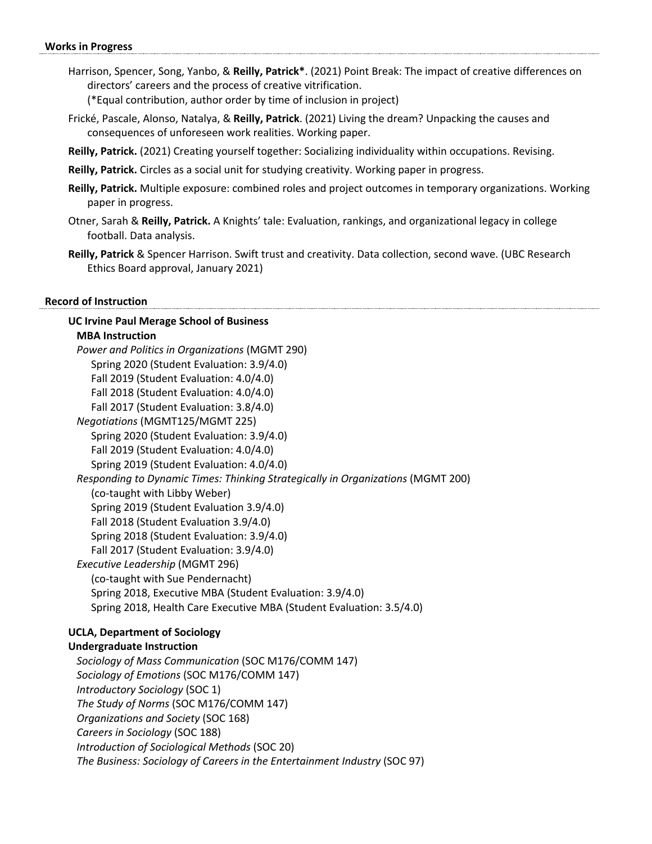#### **Works in Progress**

Harrison, Spencer, Song, Yanbo, & **Reilly, Patrick\***. (2021) Point Break: The impact of creative differences on directors' careers and the process of creative vitrification.

(\*Equal contribution, author order by time of inclusion in project)

- Frické, Pascale, Alonso, Natalya, & **Reilly, Patrick**. (2021) Living the dream? Unpacking the causes and consequences of unforeseen work realities. Working paper.
- **Reilly, Patrick.** (2021) Creating yourself together: Socializing individuality within occupations. Revising.
- **Reilly, Patrick.** Circles as a social unit for studying creativity. Working paper in progress.
- **Reilly, Patrick.** Multiple exposure: combined roles and project outcomes in temporary organizations. Working paper in progress.
- Otner, Sarah & **Reilly, Patrick.** A Knights' tale: Evaluation, rankings, and organizational legacy in college football. Data analysis.
- **Reilly, Patrick** & Spencer Harrison. Swift trust and creativity. Data collection, second wave. (UBC Research Ethics Board approval, January 2021)

#### **Record of Instruction**

# **UC Irvine Paul Merage School of Business MBA Instruction** *Power and Politics in Organizations* (MGMT 290) Spring 2020 (Student Evaluation: 3.9/4.0) Fall 2019 (Student Evaluation: 4.0/4.0) Fall 2018 (Student Evaluation: 4.0/4.0) Fall 2017 (Student Evaluation: 3.8/4.0) *Negotiations* (MGMT125/MGMT 225) Spring 2020 (Student Evaluation: 3.9/4.0) Fall 2019 (Student Evaluation: 4.0/4.0) Spring 2019 (Student Evaluation: 4.0/4.0) *Responding to Dynamic Times: Thinking Strategically in Organizations* (MGMT 200) (co-taught with Libby Weber) Spring 2019 (Student Evaluation 3.9/4.0) Fall 2018 (Student Evaluation 3.9/4.0) Spring 2018 (Student Evaluation: 3.9/4.0) Fall 2017 (Student Evaluation: 3.9/4.0) *Executive Leadership* (MGMT 296) (co-taught with Sue Pendernacht) Spring 2018, Executive MBA (Student Evaluation: 3.9/4.0) Spring 2018, Health Care Executive MBA (Student Evaluation: 3.5/4.0)

## **UCLA, Department of Sociology**

#### **Undergraduate Instruction**

*Sociology of Mass Communication* (SOC M176/COMM 147) *Sociology of Emotions* (SOC M176/COMM 147) *Introductory Sociology* (SOC 1) *The Study of Norms* (SOC M176/COMM 147) *Organizations and Society* (SOC 168) *Careers in Sociology* (SOC 188) *Introduction of Sociological Methods* (SOC 20) *The Business: Sociology of Careers in the Entertainment Industry* (SOC 97)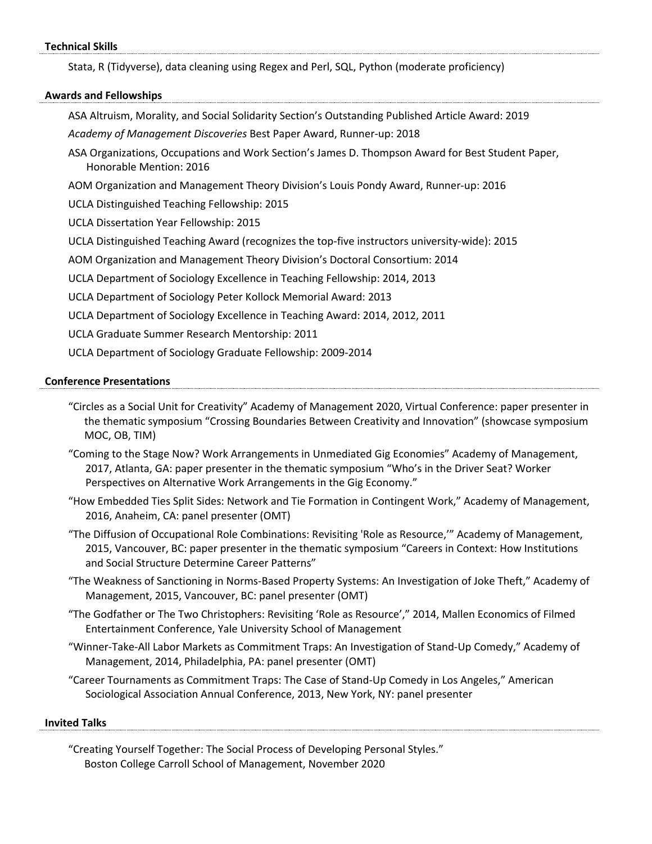#### **Technical Skills**

Stata, R (Tidyverse), data cleaning using Regex and Perl, SQL, Python (moderate proficiency)

#### **Awards and Fellowships**

ASA Altruism, Morality, and Social Solidarity Section's Outstanding Published Article Award: 2019

*Academy of Management Discoveries* Best Paper Award, Runner-up: 2018

ASA Organizations, Occupations and Work Section's James D. Thompson Award for Best Student Paper, Honorable Mention: 2016

AOM Organization and Management Theory Division's Louis Pondy Award, Runner-up: 2016

UCLA Distinguished Teaching Fellowship: 2015

UCLA Dissertation Year Fellowship: 2015

UCLA Distinguished Teaching Award (recognizes the top-five instructors university-wide): 2015

AOM Organization and Management Theory Division's Doctoral Consortium: 2014

UCLA Department of Sociology Excellence in Teaching Fellowship: 2014, 2013

UCLA Department of Sociology Peter Kollock Memorial Award: 2013

UCLA Department of Sociology Excellence in Teaching Award: 2014, 2012, 2011

UCLA Graduate Summer Research Mentorship: 2011

UCLA Department of Sociology Graduate Fellowship: 2009-2014

## **Conference Presentations**

- "Circles as a Social Unit for Creativity" Academy of Management 2020, Virtual Conference: paper presenter in the thematic symposium "Crossing Boundaries Between Creativity and Innovation" (showcase symposium MOC, OB, TIM)
- "Coming to the Stage Now? Work Arrangements in Unmediated Gig Economies" Academy of Management, 2017, Atlanta, GA: paper presenter in the thematic symposium "Who's in the Driver Seat? Worker Perspectives on Alternative Work Arrangements in the Gig Economy."
- "How Embedded Ties Split Sides: Network and Tie Formation in Contingent Work," Academy of Management, 2016, Anaheim, CA: panel presenter (OMT)
- "The Diffusion of Occupational Role Combinations: Revisiting 'Role as Resource,'" Academy of Management, 2015, Vancouver, BC: paper presenter in the thematic symposium "Careers in Context: How Institutions and Social Structure Determine Career Patterns"
- "The Weakness of Sanctioning in Norms-Based Property Systems: An Investigation of Joke Theft," Academy of Management, 2015, Vancouver, BC: panel presenter (OMT)
- "The Godfather or The Two Christophers: Revisiting 'Role as Resource'," 2014, Mallen Economics of Filmed Entertainment Conference, Yale University School of Management
- "Winner-Take-All Labor Markets as Commitment Traps: An Investigation of Stand-Up Comedy," Academy of Management, 2014, Philadelphia, PA: panel presenter (OMT)

"Career Tournaments as Commitment Traps: The Case of Stand-Up Comedy in Los Angeles," American Sociological Association Annual Conference, 2013, New York, NY: panel presenter

#### **Invited Talks**

"Creating Yourself Together: The Social Process of Developing Personal Styles." Boston College Carroll School of Management, November 2020